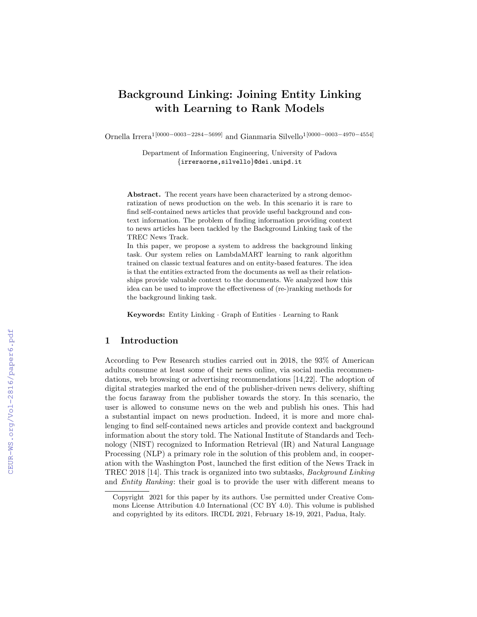# Background Linking: Joining Entity Linking with Learning to Rank Models

Ornella Irrera1[0000−0003−2284−5699] and Gianmaria Silvello1[0000−0003−4970−4554]

Department of Information Engineering, University of Padova *{*irreraorne,silvello*}*@dei.unipd.it

Abstract. The recent years have been characterized by a strong democratization of news production on the web. In this scenario it is rare to find self-contained news articles that provide useful background and context information. The problem of finding information providing context to news articles has been tackled by the Background Linking task of the TREC News Track.

In this paper, we propose a system to address the background linking task. Our system relies on LambdaMART learning to rank algorithm trained on classic textual features and on entity-based features. The idea is that the entities extracted from the documents as well as their relationships provide valuable context to the documents. We analyzed how this idea can be used to improve the effectiveness of (re-)ranking methods for the background linking task.

Keywords: Entity Linking · Graph of Entities · Learning to Rank

## 1 Introduction

According to Pew Research studies carried out in 2018, the 93% of American adults consume at least some of their news online, via social media recommendations, web browsing or advertising recommendations [14,22]. The adoption of digital strategies marked the end of the publisher-driven news delivery, shifting the focus faraway from the publisher towards the story. In this scenario, the user is allowed to consume news on the web and publish his ones. This had a substantial impact on news production. Indeed, it is more and more challenging to find self-contained news articles and provide context and background information about the story told. The National Institute of Standards and Technology (NIST) recognized to Information Retrieval (IR) and Natural Language Processing (NLP) a primary role in the solution of this problem and, in cooperation with the Washington Post, launched the first edition of the News Track in TREC 2018 [14]. This track is organized into two subtasks, *Background Linking* and *Entity Ranking*: their goal is to provide the user with different means to

Copyright 2021 for this paper by its authors. Use permitted under Creative Commons License Attribution 4.0 International (CC BY 4.0). This volume is published and copyrighted by its editors. IRCDL 2021, February 18-19, 2021, Padua, Italy.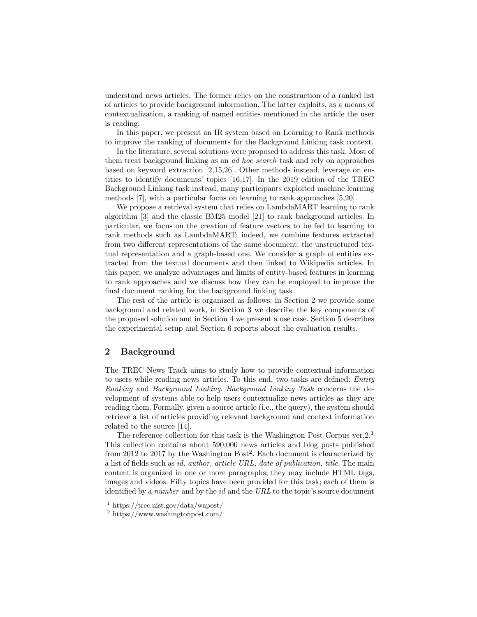understand news articles. The former relies on the construction of a ranked list of articles to provide background information. The latter exploits, as a means of contextualization, a ranking of named entities mentioned in the article the user is reading.

In this paper, we present an IR system based on Learning to Rank methods to improve the ranking of documents for the Background Linking task context.

In the literature, several solutions were proposed to address this task. Most of them treat background linking as an *ad hoc search* task and rely on approaches based on keyword extraction [2,15,26]. Other methods instead, leverage on entities to identify documents' topics [16,17]. In the 2019 edition of the TREC Background Linking task instead, many participants exploited machine learning methods [7], with a particular focus on learning to rank approaches [5,20].

We propose a retrieval system that relies on LambdaMART learning to rank algorithm [3] and the classic BM25 model [21] to rank background articles. In particular, we focus on the creation of feature vectors to be fed to learning to rank methods such as LambdaMART; indeed, we combine features extracted from two different representations of the same document: the unstructured textual representation and a graph-based one. We consider a graph of entities extracted from the textual documents and then linked to Wikipedia articles. In this paper, we analyze advantages and limits of entity-based features in learning to rank approaches and we discuss how they can be employed to improve the final document ranking for the background linking task.

The rest of the article is organized as follows: in Section 2 we provide some background and related work, in Section 3 we describe the key components of the proposed solution and in Section 4 we present a use case. Section 5 describes the experimental setup and Section 6 reports about the evaluation results.

## 2 Background

The TREC News Track aims to study how to provide contextual information to users while reading news articles. To this end, two tasks are defined: *Entity Ranking* and *Background Linking*. *Background Linking Task* concerns the development of systems able to help users contextualize news articles as they are reading them. Formally, given a source article (i.e., the query), the system should retrieve a list of articles providing relevant background and context information related to the source [14].

The reference collection for this task is the Washington Post Corpus ver.2.<sup>1</sup> This collection contains about 590,000 news articles and blog posts published from 2012 to 2017 by the Washington Post<sup>2</sup>. Each document is characterized by a list of fields such as *id, author, article URL, date of publication, title*. The main content is organized in one or more paragraphs; they may include HTML tags, images and videos. Fifty topics have been provided for this task; each of them is identified by a *number* and by the *id* and the *URL* to the topic's source document

<sup>&</sup>lt;sup>1</sup> https://trec.nist.gov/data/wapost/

<sup>2</sup> https://www.washingtonpost.com/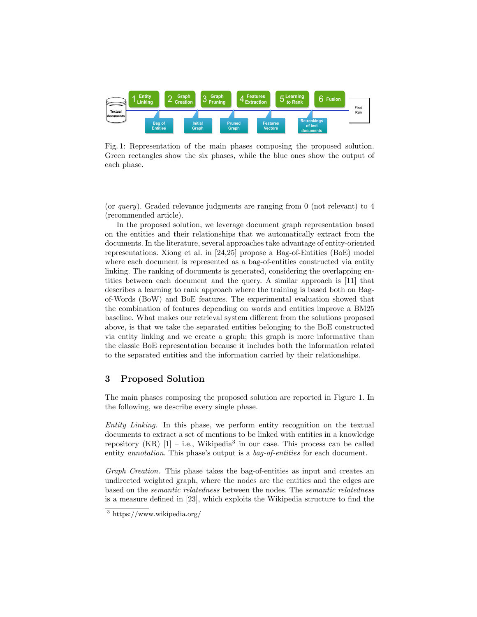

Fig. 1: Representation of the main phases composing the proposed solution. Green rectangles show the six phases, while the blue ones show the output of each phase.

(or *query*). Graded relevance judgments are ranging from 0 (not relevant) to 4 (recommended article).

In the proposed solution, we leverage document graph representation based on the entities and their relationships that we automatically extract from the documents. In the literature, several approaches take advantage of entity-oriented representations. Xiong et al. in [24,25] propose a Bag-of-Entities (BoE) model where each document is represented as a bag-of-entities constructed via entity linking. The ranking of documents is generated, considering the overlapping entities between each document and the query. A similar approach is [11] that describes a learning to rank approach where the training is based both on Bagof-Words (BoW) and BoE features. The experimental evaluation showed that the combination of features depending on words and entities improve a BM25 baseline. What makes our retrieval system different from the solutions proposed above, is that we take the separated entities belonging to the BoE constructed via entity linking and we create a graph; this graph is more informative than the classic BoE representation because it includes both the information related to the separated entities and the information carried by their relationships.

## 3 Proposed Solution

The main phases composing the proposed solution are reported in Figure 1. In the following, we describe every single phase.

*Entity Linking.* In this phase, we perform entity recognition on the textual documents to extract a set of mentions to be linked with entities in a knowledge repository  $(KR)$  [1] – i.e., Wikipedia<sup>3</sup> in our case. This process can be called entity *annotation*. This phase's output is a *bag-of-entities* for each document.

*Graph Creation.* This phase takes the bag-of-entities as input and creates an undirected weighted graph, where the nodes are the entities and the edges are based on the *semantic relatedness* between the nodes. The *semantic relatedness* is a measure defined in [23], which exploits the Wikipedia structure to find the

<sup>3</sup> https://www.wikipedia.org/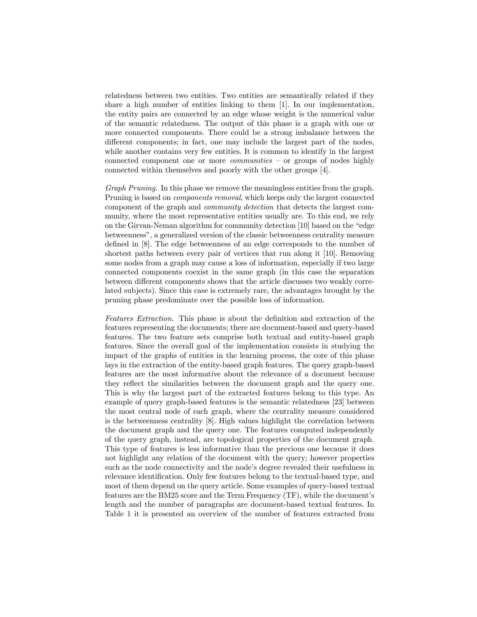relatedness between two entities. Two entities are semantically related if they share a high number of entities linking to them [1]. In our implementation, the entity pairs are connected by an edge whose weight is the numerical value of the semantic relatedness. The output of this phase is a graph with one or more connected components. There could be a strong imbalance between the different components; in fact, one may include the largest part of the nodes, while another contains very few entities. It is common to identify in the largest connected component one or more *communities* – or groups of nodes highly connected within themselves and poorly with the other groups [4].

*Graph Pruning.* In this phase we remove the meaningless entities from the graph. Pruning is based on *components removal*, which keeps only the largest connected component of the graph and *community detection* that detects the largest community, where the most representative entities usually are. To this end, we rely on the Girvan-Neman algorithm for community detection [10] based on the "edge betweenness", a generalized version of the classic betweenness centrality measure defined in [8]. The edge betweenness of an edge corresponds to the number of shortest paths between every pair of vertices that run along it [10]. Removing some nodes from a graph may cause a loss of information, especially if two large connected components coexist in the same graph (in this case the separation between different components shows that the article discusses two weakly correlated subjects). Since this case is extremely rare, the advantages brought by the pruning phase predominate over the possible loss of information.

*Features Extraction.* This phase is about the definition and extraction of the features representing the documents; there are document-based and query-based features. The two feature sets comprise both textual and entity-based graph features. Since the overall goal of the implementation consists in studying the impact of the graphs of entities in the learning process, the core of this phase lays in the extraction of the entity-based graph features. The query graph-based features are the most informative about the relevance of a document because they reflect the similarities between the document graph and the query one. This is why the largest part of the extracted features belong to this type. An example of query graph-based features is the semantic relatedness [23] between the most central node of each graph, where the centrality measure considered is the betweenness centrality [8]. High values highlight the correlation between the document graph and the query one. The features computed independently of the query graph, instead, are topological properties of the document graph. This type of features is less informative than the previous one because it does not highlight any relation of the document with the query; however properties such as the node connectivity and the node's degree revealed their usefulness in relevance identification. Only few features belong to the textual-based type, and most of them depend on the query article. Some examples of query-based textual features are the BM25 score and the Term Frequency (TF), while the document's length and the number of paragraphs are document-based textual features. In Table 1 it is presented an overview of the number of features extracted from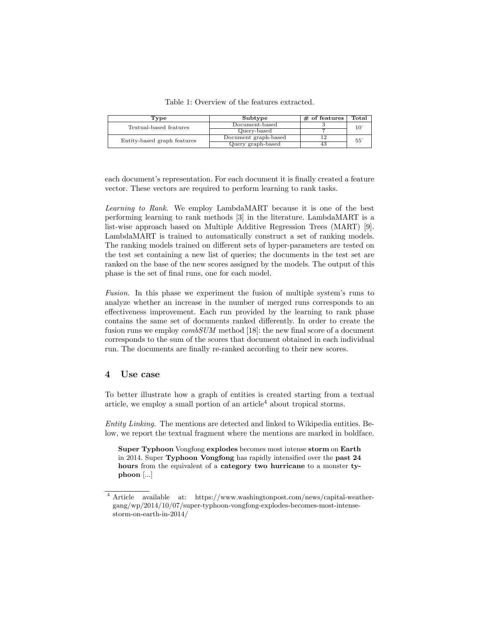Table 1: Overview of the features extracted.

| Type                        | Subtype              | $\#$ of features | Total        |  |
|-----------------------------|----------------------|------------------|--------------|--|
| Textual-based features      | Document-based       |                  |              |  |
|                             | Query-based          |                  |              |  |
| Entity-based graph features | Document graph-based |                  | $55^{\circ}$ |  |
|                             | Query graph-based    | 43               |              |  |

each document's representation. For each document it is finally created a feature vector. These vectors are required to perform learning to rank tasks.

*Learning to Rank.* We employ LambdaMART because it is one of the best performing learning to rank methods [3] in the literature. LambdaMART is a list-wise approach based on Multiple Additive Regression Trees (MART) [9]. LambdaMART is trained to automatically construct a set of ranking models. The ranking models trained on different sets of hyper-parameters are tested on the test set containing a new list of queries; the documents in the test set are ranked on the base of the new scores assigned by the models. The output of this phase is the set of final runs, one for each model.

*Fusion.* In this phase we experiment the fusion of multiple system's runs to analyze whether an increase in the number of merged runs corresponds to an effectiveness improvement. Each run provided by the learning to rank phase contains the same set of documents ranked differently. In order to create the fusion runs we employ *combSUM* method [18]: the new final score of a document corresponds to the sum of the scores that document obtained in each individual run. The documents are finally re-ranked according to their new scores.

#### 4 Use case

To better illustrate how a graph of entities is created starting from a textual article, we employ a small portion of an article<sup>4</sup> about tropical storms.

*Entity Linking.* The mentions are detected and linked to Wikipedia entities. Below, we report the textual fragment where the mentions are marked in boldface.

Super Typhoon Vongfong explodes becomes most intense storm on Earth in 2014. Super Typhoon Vongfong has rapidly intensified over the past 24 hours from the equivalent of a category two hurricane to a monster typhoon [...]

<sup>4</sup> Article available at: https://www.washingtonpost.com/news/capital-weathergang/wp/2014/10/07/super-typhoon-vongfong-explodes-becomes-most-intensestorm-on-earth-in-2014/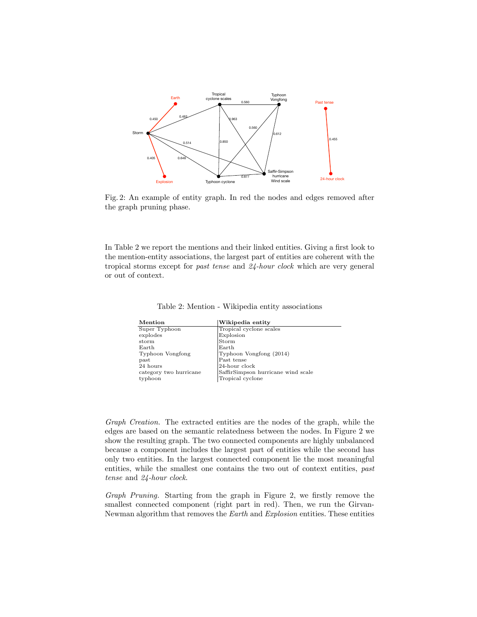

Fig. 2: An example of entity graph. In red the nodes and edges removed after the graph pruning phase.

In Table 2 we report the mentions and their linked entities. Giving a first look to the mention-entity associations, the largest part of entities are coherent with the tropical storms except for *past tense* and *24-hour clock* which are very general or out of context.

|  |  | Table 2: Mention - Wikipedia entity associations |
|--|--|--------------------------------------------------|
|  |  |                                                  |

| Mention                | Wikipedia entity                   |
|------------------------|------------------------------------|
| Super Typhoon          | Tropical cyclone scales            |
| explodes               | Explosion                          |
| storm                  | Storm                              |
| Earth                  | Earth                              |
| Typhoon Vongfong       | Typhoon Vongfong (2014)            |
| past                   | Past tense                         |
| 24 hours               | 24-hour clock                      |
| category two hurricane | SaffirSimpson hurricane wind scale |
| typhoon                | Tropical cyclone                   |

*Graph Creation.* The extracted entities are the nodes of the graph, while the edges are based on the semantic relatedness between the nodes. In Figure 2 we show the resulting graph. The two connected components are highly unbalanced because a component includes the largest part of entities while the second has only two entities. In the largest connected component lie the most meaningful entities, while the smallest one contains the two out of context entities, *past tense* and *24-hour clock*.

*Graph Pruning.* Starting from the graph in Figure 2, we firstly remove the smallest connected component (right part in red). Then, we run the Girvan-Newman algorithm that removes the *Earth* and *Explosion* entities. These entities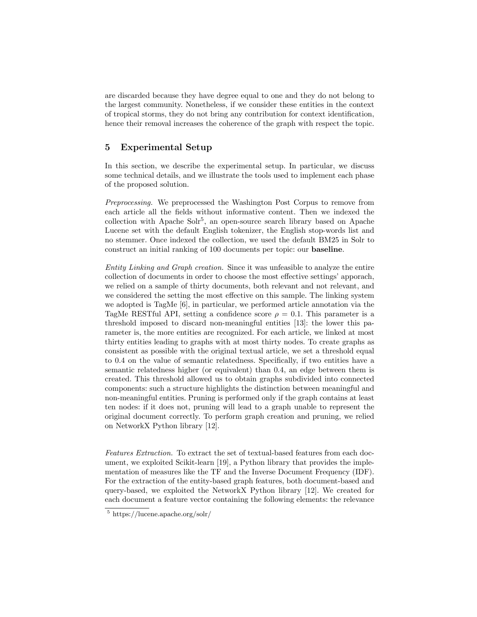are discarded because they have degree equal to one and they do not belong to the largest community. Nonetheless, if we consider these entities in the context of tropical storms, they do not bring any contribution for context identification, hence their removal increases the coherence of the graph with respect the topic.

## 5 Experimental Setup

In this section, we describe the experimental setup. In particular, we discuss some technical details, and we illustrate the tools used to implement each phase of the proposed solution.

*Preprocessing.* We preprocessed the Washington Post Corpus to remove from each article all the fields without informative content. Then we indexed the collection with Apache  $S\ddot{\mathrm{ol}}r^5$ , an open-source search library based on Apache Lucene set with the default English tokenizer, the English stop-words list and no stemmer. Once indexed the collection, we used the default BM25 in Solr to construct an initial ranking of 100 documents per topic: our baseline.

*Entity Linking and Graph creation.* Since it was unfeasible to analyze the entire collection of documents in order to choose the most effective settings' apporach, we relied on a sample of thirty documents, both relevant and not relevant, and we considered the setting the most effective on this sample. The linking system we adopted is TagMe [6], in particular, we performed article annotation via the TagMe RESTful API, setting a confidence score  $\rho = 0.1$ . This parameter is a threshold imposed to discard non-meaningful entities [13]: the lower this parameter is, the more entities are recognized. For each article, we linked at most thirty entities leading to graphs with at most thirty nodes. To create graphs as consistent as possible with the original textual article, we set a threshold equal to 0*.*4 on the value of semantic relatedness. Specifically, if two entities have a semantic relatedness higher (or equivalent) than 0.4, an edge between them is created. This threshold allowed us to obtain graphs subdivided into connected components: such a structure highlights the distinction between meaningful and non-meaningful entities. Pruning is performed only if the graph contains at least ten nodes: if it does not, pruning will lead to a graph unable to represent the original document correctly. To perform graph creation and pruning, we relied on NetworkX Python library [12].

*Features Extraction.* To extract the set of textual-based features from each document, we exploited Scikit-learn [19], a Python library that provides the implementation of measures like the TF and the Inverse Document Frequency (IDF). For the extraction of the entity-based graph features, both document-based and query-based, we exploited the NetworkX Python library [12]. We created for each document a feature vector containing the following elements: the relevance

<sup>5</sup> https://lucene.apache.org/solr/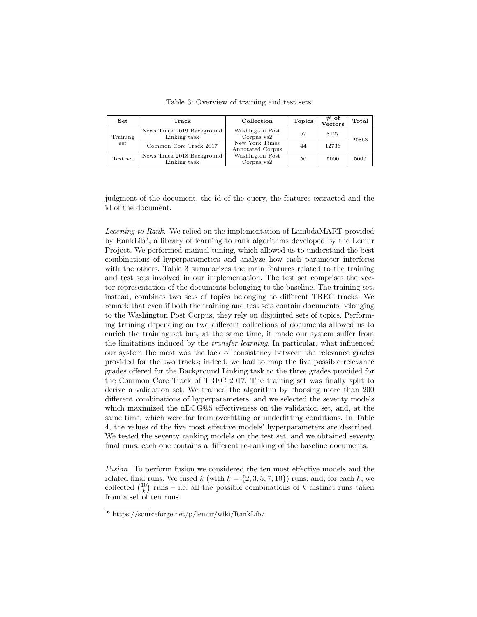| Set      | Track                                      | Collection                         | <b>Topics</b> | $#$ of<br>Vectors | Total |  |
|----------|--------------------------------------------|------------------------------------|---------------|-------------------|-------|--|
| Training | News Track 2019 Background<br>Linking task | Washington Post<br>Corpus vs2      | 57            | 8127              | 20863 |  |
| set      | Common Core Track 2017                     | New York Times<br>Annotated Corpus | 44            | 12736             |       |  |
| Test set | News Track 2018 Background<br>Linking task | Washington Post<br>Corpus vs2      | 50            | 5000              | 5000  |  |

Table 3: Overview of training and test sets.

judgment of the document, the id of the query, the features extracted and the id of the document.

*Learning to Rank.* We relied on the implementation of LambdaMART provided by RankLib<sup>6</sup>, a library of learning to rank algorithms developed by the Lemur Project. We performed manual tuning, which allowed us to understand the best combinations of hyperparameters and analyze how each parameter interferes with the others. Table 3 summarizes the main features related to the training and test sets involved in our implementation. The test set comprises the vector representation of the documents belonging to the baseline. The training set, instead, combines two sets of topics belonging to different TREC tracks. We remark that even if both the training and test sets contain documents belonging to the Washington Post Corpus, they rely on disjointed sets of topics. Performing training depending on two different collections of documents allowed us to enrich the training set but, at the same time, it made our system suffer from the limitations induced by the *transfer learning*. In particular, what influenced our system the most was the lack of consistency between the relevance grades provided for the two tracks; indeed, we had to map the five possible relevance grades offered for the Background Linking task to the three grades provided for the Common Core Track of TREC 2017. The training set was finally split to derive a validation set. We trained the algorithm by choosing more than 200 different combinations of hyperparameters, and we selected the seventy models which maximized the nDCG@5 effectiveness on the validation set, and, at the same time, which were far from overfitting or underfitting conditions. In Table 4, the values of the five most effective models' hyperparameters are described. We tested the seventy ranking models on the test set, and we obtained seventy final runs: each one contains a different re-ranking of the baseline documents.

*Fusion.* To perform fusion we considered the ten most effective models and the related final runs. We fused  $k$  (with  $k = \{2, 3, 5, 7, 10\}$ ) runs, and, for each  $k$ , we collected  $\binom{10}{k}$  runs – i.e. all the possible combinations of *k* distinct runs taken from a set of ten runs.

 $6 \text{ https://sourceforge.net/p/lemur/wiki/RankLib/}$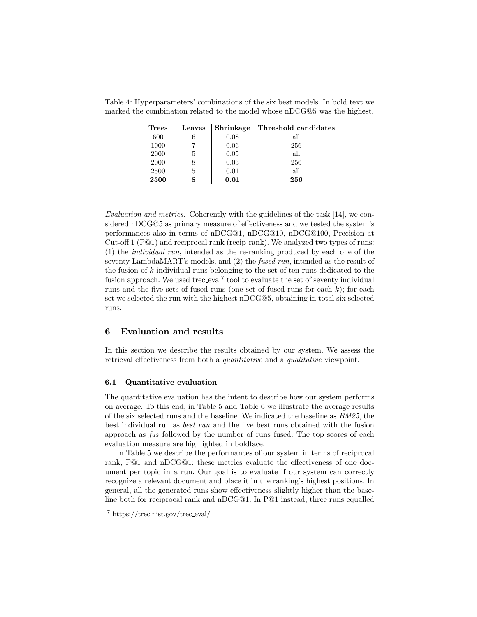Table 4: Hyperparameters' combinations of the six best models. In bold text we marked the combination related to the model whose nDCG@5 was the highest.

| <b>Trees</b> | Leaves |      | Shrinkage   Threshold candidates |
|--------------|--------|------|----------------------------------|
| 600          |        | 0.08 | all                              |
| 1000         |        | 0.06 | 256                              |
| 2000         | 5      | 0.05 | all                              |
| 2000         |        | 0.03 | 256                              |
| 2500         | 5      | 0.01 | all                              |
| 2500         |        | 0.01 | 256                              |

*Evaluation and metrics.* Coherently with the guidelines of the task [14], we considered nDCG@5 as primary measure of effectiveness and we tested the system's performances also in terms of nDCG@1, nDCG@10, nDCG@100, Precision at Cut-off 1 (P@1) and reciprocal rank (recip rank). We analyzed two types of runs: (1) the *individual run*, intended as the re-ranking produced by each one of the seventy LambdaMART's models, and (2) the *fused run*, intended as the result of the fusion of *k* individual runs belonging to the set of ten runs dedicated to the fusion approach. We used trec\_eval<sup>7</sup> tool to evaluate the set of seventy individual runs and the five sets of fused runs (one set of fused runs for each *k*); for each set we selected the run with the highest nDCG@5, obtaining in total six selected runs.

## 6 Evaluation and results

In this section we describe the results obtained by our system. We assess the retrieval effectiveness from both a *quantitative* and a *qualitative* viewpoint.

#### 6.1 Quantitative evaluation

The quantitative evaluation has the intent to describe how our system performs on average. To this end, in Table 5 and Table 6 we illustrate the average results of the six selected runs and the baseline. We indicated the baseline as *BM25*, the best individual run as *best run* and the five best runs obtained with the fusion approach as *fus* followed by the number of runs fused. The top scores of each evaluation measure are highlighted in boldface.

In Table 5 we describe the performances of our system in terms of reciprocal rank, P@1 and nDCG@1: these metrics evaluate the effectiveness of one document per topic in a run. Our goal is to evaluate if our system can correctly recognize a relevant document and place it in the ranking's highest positions. In general, all the generated runs show effectiveness slightly higher than the baseline both for reciprocal rank and nDCG@1. In P@1 instead, three runs equalled

<sup>7</sup> https://trec.nist.gov/trec eval/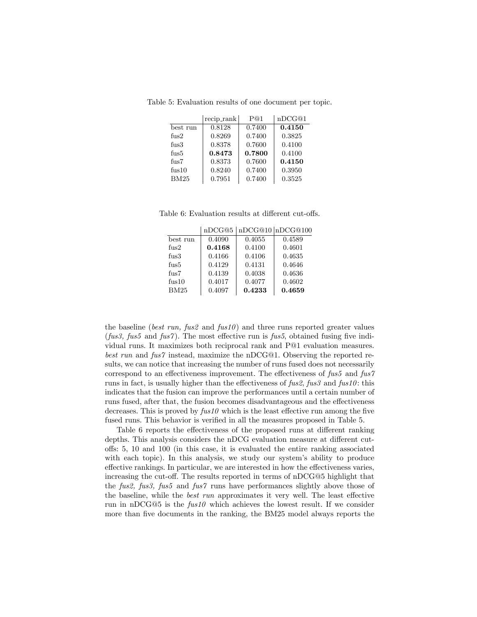Table 5: Evaluation results of one document per topic.

|                   | recip_rank | P@1    | nDCG@1 |
|-------------------|------------|--------|--------|
| best run          | 0.8128     | 0.7400 | 0.4150 |
| fus2              | 0.8269     | 0.7400 | 0.3825 |
| fus3              | 0.8378     | 0.7600 | 0.4100 |
| fus5              | 0.8473     | 0.7800 | 0.4100 |
| $f_{\rm 11S}$ 7   | 0.8373     | 0.7600 | 0.4150 |
| f <sub>us10</sub> | 0.8240     | 0.7400 | 0.3950 |
| <b>BM25</b>       | 0.7951     | 0.7400 | 0.3525 |

Table 6: Evaluation results at different cut-offs.

|                  | nDCG@5 |        | nDCG@10 nDCG@100 |
|------------------|--------|--------|------------------|
| best run         | 0.4090 | 0.4055 | 0.4589           |
| $f_{11S}2$       | 0.4168 | 0.4100 | 0.4601           |
| f <sub>11S</sub> | 0.4166 | 0.4106 | 0.4635           |
| fus5             | 0.4129 | 0.4131 | 0.4646           |
| $f_{\rm 11S}$ 7  | 0.4139 | 0.4038 | 0.4636           |
| fus10            | 0.4017 | 0.4077 | 0.4602           |
| <b>BM25</b>      | 0.4097 | 0.4233 | 0.4659           |

the baseline (*best run, fus2* and *fus10* ) and three runs reported greater values (*fus3, fus5* and *fus7* ). The most effective run is *fus5*, obtained fusing five individual runs. It maximizes both reciprocal rank and P@1 evaluation measures. *best run* and *fus7* instead, maximize the nDCG@1. Observing the reported results, we can notice that increasing the number of runs fused does not necessarily correspond to an effectiveness improvement. The effectiveness of *fus5* and *fus7* runs in fact, is usually higher than the effectiveness of *fus2*, *fus3* and *fus10* : this indicates that the fusion can improve the performances until a certain number of runs fused, after that, the fusion becomes disadvantageous and the effectiveness decreases. This is proved by *fus10* which is the least effective run among the five fused runs. This behavior is verified in all the measures proposed in Table 5.

Table 6 reports the effectiveness of the proposed runs at different ranking depths. This analysis considers the nDCG evaluation measure at different cutoffs: 5, 10 and 100 (in this case, it is evaluated the entire ranking associated with each topic). In this analysis, we study our system's ability to produce effective rankings. In particular, we are interested in how the effectiveness varies, increasing the cut-off. The results reported in terms of nDCG@5 highlight that the *fus2, fus3, fus5* and *fus7* runs have performances slightly above those of the baseline, while the *best run* approximates it very well. The least effective run in nDCG@5 is the *fus10* which achieves the lowest result. If we consider more than five documents in the ranking, the BM25 model always reports the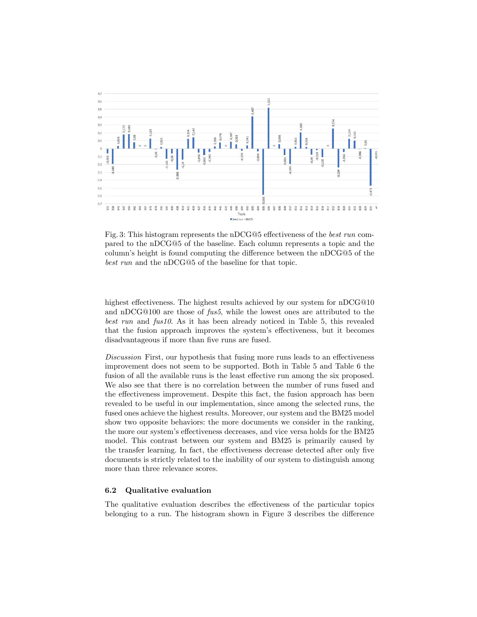

Fig. 3: This histogram represents the nDCG@5 effectiveness of the *best run* compared to the nDCG@5 of the baseline. Each column represents a topic and the column's height is found computing the difference between the nDCG@5 of the *best run* and the nDCG@5 of the baseline for that topic.

highest effectiveness. The highest results achieved by our system for  $nDCG@10$ and nDCG@100 are those of *fus5*, while the lowest ones are attributed to the *best run* and *fus10*. As it has been already noticed in Table 5, this revealed that the fusion approach improves the system's effectiveness, but it becomes disadvantageous if more than five runs are fused.

*Discussion* First, our hypothesis that fusing more runs leads to an effectiveness improvement does not seem to be supported. Both in Table 5 and Table 6 the fusion of all the available runs is the least effective run among the six proposed. We also see that there is no correlation between the number of runs fused and the effectiveness improvement. Despite this fact, the fusion approach has been revealed to be useful in our implementation, since among the selected runs, the fused ones achieve the highest results. Moreover, our system and the BM25 model show two opposite behaviors: the more documents we consider in the ranking, the more our system's effectiveness decreases, and vice versa holds for the BM25 model. This contrast between our system and BM25 is primarily caused by the transfer learning. In fact, the effectiveness decrease detected after only five documents is strictly related to the inability of our system to distinguish among more than three relevance scores.

#### 6.2 Qualitative evaluation

The qualitative evaluation describes the effectiveness of the particular topics belonging to a run. The histogram shown in Figure 3 describes the difference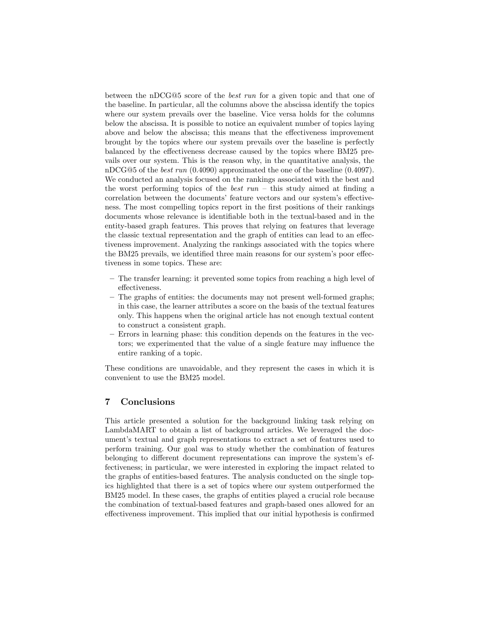between the nDCG@5 score of the *best run* for a given topic and that one of the baseline. In particular, all the columns above the abscissa identify the topics where our system prevails over the baseline. Vice versa holds for the columns below the abscissa. It is possible to notice an equivalent number of topics laying above and below the abscissa; this means that the effectiveness improvement brought by the topics where our system prevails over the baseline is perfectly balanced by the effectiveness decrease caused by the topics where BM25 prevails over our system. This is the reason why, in the quantitative analysis, the nDCG@5 of the *best run* (0.4090) approximated the one of the baseline (0.4097). We conducted an analysis focused on the rankings associated with the best and the worst performing topics of the *best run* – this study aimed at finding a correlation between the documents' feature vectors and our system's effectiveness. The most compelling topics report in the first positions of their rankings documents whose relevance is identifiable both in the textual-based and in the entity-based graph features. This proves that relying on features that leverage the classic textual representation and the graph of entities can lead to an effectiveness improvement. Analyzing the rankings associated with the topics where the BM25 prevails, we identified three main reasons for our system's poor effectiveness in some topics. These are:

- The transfer learning: it prevented some topics from reaching a high level of effectiveness.
- The graphs of entities: the documents may not present well-formed graphs; in this case, the learner attributes a score on the basis of the textual features only. This happens when the original article has not enough textual content to construct a consistent graph.
- Errors in learning phase: this condition depends on the features in the vectors; we experimented that the value of a single feature may influence the entire ranking of a topic.

These conditions are unavoidable, and they represent the cases in which it is convenient to use the BM25 model.

## 7 Conclusions

This article presented a solution for the background linking task relying on LambdaMART to obtain a list of background articles. We leveraged the document's textual and graph representations to extract a set of features used to perform training. Our goal was to study whether the combination of features belonging to different document representations can improve the system's effectiveness; in particular, we were interested in exploring the impact related to the graphs of entities-based features. The analysis conducted on the single topics highlighted that there is a set of topics where our system outperformed the BM25 model. In these cases, the graphs of entities played a crucial role because the combination of textual-based features and graph-based ones allowed for an effectiveness improvement. This implied that our initial hypothesis is confirmed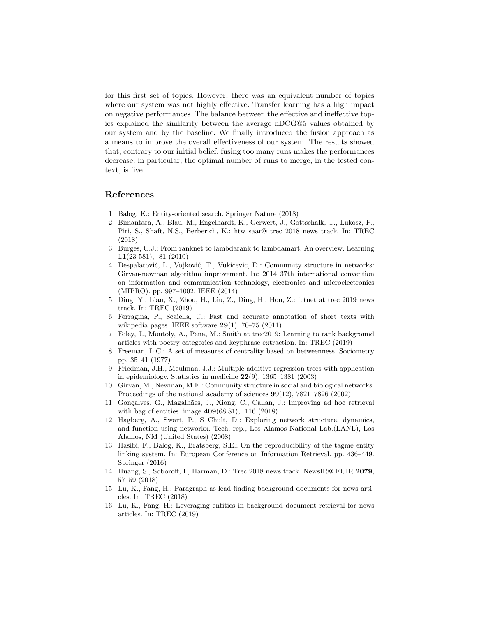for this first set of topics. However, there was an equivalent number of topics where our system was not highly effective. Transfer learning has a high impact on negative performances. The balance between the effective and ineffective topics explained the similarity between the average nDCG@5 values obtained by our system and by the baseline. We finally introduced the fusion approach as a means to improve the overall effectiveness of our system. The results showed that, contrary to our initial belief, fusing too many runs makes the performances decrease; in particular, the optimal number of runs to merge, in the tested context, is five.

#### References

- 1. Balog, K.: Entity-oriented search. Springer Nature (2018)
- 2. Bimantara, A., Blau, M., Engelhardt, K., Gerwert, J., Gottschalk, T., Lukosz, P., Piri, S., Shaft, N.S., Berberich, K.: htw saar@ trec 2018 news track. In: TREC (2018)
- 3. Burges, C.J.: From ranknet to lambdarank to lambdamart: An overview. Learning 11(23-581), 81 (2010)
- 4. Despalatović, L., Vojković, T., Vukicevic, D.: Community structure in networks: Girvan-newman algorithm improvement. In: 2014 37th international convention on information and communication technology, electronics and microelectronics (MIPRO). pp. 997–1002. IEEE (2014)
- 5. Ding, Y., Lian, X., Zhou, H., Liu, Z., Ding, H., Hou, Z.: Ictnet at trec 2019 news track. In: TREC (2019)
- 6. Ferragina, P., Scaiella, U.: Fast and accurate annotation of short texts with wikipedia pages. IEEE software  $29(1)$ , 70–75 (2011)
- 7. Foley, J., Montoly, A., Pena, M.: Smith at trec2019: Learning to rank background articles with poetry categories and keyphrase extraction. In: TREC (2019)
- 8. Freeman, L.C.: A set of measures of centrality based on betweenness. Sociometry pp. 35–41 (1977)
- 9. Friedman, J.H., Meulman, J.J.: Multiple additive regression trees with application in epidemiology. Statistics in medicine 22(9), 1365–1381 (2003)
- 10. Girvan, M., Newman, M.E.: Community structure in social and biological networks. Proceedings of the national academy of sciences 99(12), 7821–7826 (2002)
- 11. Gon¸calves, G., Magalh˜aes, J., Xiong, C., Callan, J.: Improving ad hoc retrieval with bag of entities. image 409(68.81), 116 (2018)
- 12. Hagberg, A., Swart, P., S Chult, D.: Exploring network structure, dynamics, and function using networkx. Tech. rep., Los Alamos National Lab.(LANL), Los Alamos, NM (United States) (2008)
- 13. Hasibi, F., Balog, K., Bratsberg, S.E.: On the reproducibility of the tagme entity linking system. In: European Conference on Information Retrieval. pp. 436–449. Springer (2016)
- 14. Huang, S., Soboroff, I., Harman, D.: Trec 2018 news track. NewsIR@ ECIR 2079, 57–59 (2018)
- 15. Lu, K., Fang, H.: Paragraph as lead-finding background documents for news articles. In: TREC (2018)
- 16. Lu, K., Fang, H.: Leveraging entities in background document retrieval for news articles. In: TREC (2019)